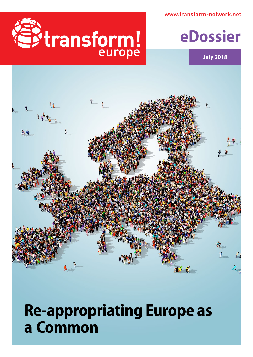www.transform-network.net



Estate of



**July 2018**

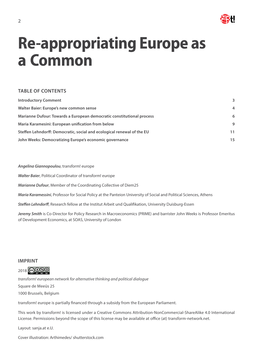

# **Re-appropriating Europe as a Common**

### **TABLE OF CONTENTS**

| <b>Introductory Comment</b>                                            | 3              |
|------------------------------------------------------------------------|----------------|
| Walter Baier: Europe's new common sense                                | $\overline{4}$ |
| Marianne Dufour: Towards a European democratic constitutional process  | 6              |
| Maria Karamesini: European unification from below                      | 9              |
| Steffen Lehndorff: Democratic, social and ecological renewal of the EU | 11             |
| John Weeks: Democratizing Europe's economic governance                 | 15             |

*Angelina Giannopoulou*, transform! europe

*Walter Baier*, Political Coordinator of transform! europe

*Marianne Dufour*, Member of the Coordinating Collective of Diem25

*Maria Karamessini*, Professor for Social Policy at the Panteion University of Social and Political Sciences, Athens

*Steffen Lehndorff*, Research fellow at the Institut Arbeit und Qualifikation, University Duisburg-Essen

*Jeremy Smith* is Co-Director for Policy Research in Macroeconomics (PRIME) and barrister John Weeks is Professor Emeritus of Development Economics, at SOAS, University of London

### **IMPRINT**



*transform! european network for alternative thinking and political dialogue* Square de Meeûs 25 1000 Brussels, Belgium

transform! europe is partially financed through a subsidy from the European Parliament.

This work by transform! is licensed under a Creative Commons Attribution-NonCommercial-ShareAlike 4.0 International License. Permissions beyond the scope of this license may be available at office (at) transform-network.net.

Layout: sanja.at e.U.

Cover illustration: [Arthimedes](https://www.shutterstock.com/de/g/arthimedes)/ shutterstock.com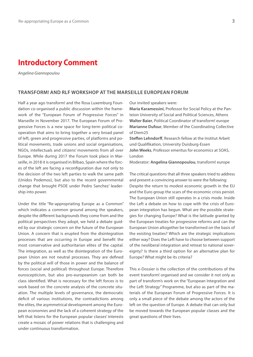# <span id="page-2-0"></span>**Ιntroductory Comment**

*Angelina Giannopoulou* 

### **TRANSFORM! AND RLF WORKSHOP AT THE MARSEILLE EUROPEAN FORUM**

Half a year ago transform! and the Rosa Luxemburg Foundation co-organised a public discussion within the framework of the "European Forum of Progressive Forces" in Marseille in November 2017. Τhe European Forum of Progressive Forces is a new space for long-term political cooperation that aims to bring together a very broad panel of left, green and progressive parties, of platforms and political movements, trade unions and social organisations, NGOs, intellectuals and citizens' movements from all over Europe. While during 2017 the Forum took place in Marseille, in 2018 it is organised in Bilbao, Spain where the forces of the left are facing a reconfiguration due not only to the decision of the two left parties to walk the same path (Unidos Podemos), but also to the recent governmental change that brought PSOE under Pedro Sanchez' leadership into power.

Under the title "Re-appropriating Europe as a Common" which indicates a common ground among the speakers, despite the different backgrounds they come from and the political perspectives they adopt, we held a debate guided by our strategic concern on the future of the European Union. A concern that is erupted from the disintegration processes that are occurring in Europe and benefit the most conservative and authoritarian elites of the capital. The integration, as well as the disintegration of the European Union are not neutral processes. They are defined by the political will of those in power and the balance of forces (social and political) throughout Europe. Therefore euroscepticism, but also pro-europeanism can both be class identified. What is necessary for the left forces is to work based on the concrete analysis of the concrete situation. The multiple levels of governance, the democratic deficit of various institutions, the contradictions among the elites, the asymmetrical development among the European economies and the lack of a coherent strategy of the left that listens for the European popular classes' interests create a mosaic of power relations that is challenging and under continuous transformation.

Our invited speakers were:

**Maria Karamessini**, Professor for Social Policy at the Panteion University of Social and Political Sciences, Athens **Walter Baier**, Political Coordinator of transform! europe **Marianne Dufour**, Member of the Coordinating Collective of Diem25

**Steffen Lehndorff**, Research fellow at the Institut Arbeit und Qualifikation, University Duisburg-Essen **John Weeks**, Professor emeritus for economics at SOAS, London

Moderator: **Angelina Giannopoulou**, transform! europe

The critical questions that all three speakers tried to address and present a convincing answer to were the following: Despite the return to modest economic growth in the EU and the Euro group the scars of the economic crisis persist. The European Union still operates in a crisis mode. Inside the Left a debate on how to cope with the crisis of European integration has begun. What are the possible strategies for changing Europe? What is the latitude granted by the European treaties for progressive reforms and can the European Union altogether be transformed on the basis of the existing treaties? Which are the strategic implications either way? Does the Left have to choose between support of the neoliberal integration and retreat to national sovereignty? Is there a third option for an alternative plan for Europe? What might be its criteria?

Τhis e-Dossier is the collection of the contributions of the event transform! organised and we consider it not only as part of transform's work on the "European Integration and the Left Strategy" Programme, but also as part of the materials of the European Forum of Progressive Forces. It is only a small piece of the debate among the actors of the left on the question of Europe. A debate that can only but be moved towards the European popular classes and the great questions of their lives.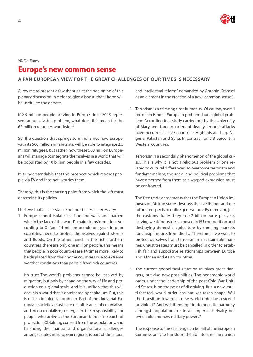

### <span id="page-3-0"></span>*Walter Baier:*

# **Europe's new common sense**

### **A PAN-EUROPEAN VIEW FOR THE GREAT CHALLENGES OF OUR TIMES IS NECESSARY**

Allow me to present a few theories at the beginning of this plenary discussion in order to give a boost, that I hope will be useful, to the debate.

If 2.5 million people arriving in Europe since 2015 represent an unsolvable problem, what does this mean for the 62 million refugees worldwide?

So, the question that springs to mind is not how Europe, with its 500 million inhabitants, will be able to integrate 2.5 million refugees, but rather, how these 500 million Europeans will manage to integrate themselves in a world that will be populated by 10 billion people in a few decades.

It is understandable that this prospect, which reaches people via TV and internet, worries them.

Thereby, this is the starting point from which the left must determine its policies.

I believe that a clear stance on four issues is necessary:

1. Europe cannot isolate itself behind walls and barbed wire in the face of the world's major transformation. According to Oxfam, 14 million people per year, in poor countries, need to protect themselves against storms and floods. On the other hand, in the rich northern countries, there are only one million people. This means that people in poor countries are 14 times more likely to be displaced from their home countries due to extreme weather conditions than people from rich countries.

It's true: The world's problems cannot be resolved by migration, but only by changing the way of life and production on a global scale. And it is unlikely that this will occur in a world that is dominated by capitalism. But, this is not an ideological problem. Part of the dues that European societies must take on, after ages of colonialism and neo-colonialism, emerge in the responsibility for people who arrive at the European border in search of protection. Obtaining consent from the populations, and balancing the financial and organisational challenges amongst states in European regions, is part of the "moral

and intellectual reform" demanded by Antonio Gramsci as an element in the creation of a new "common sense".

2. Terrorism is a crime against humanity. Of course, overall terrorism is not a European problem, but a global problem. According to a study carried out by the University of Maryland, three quarters of deadly terrorist attacks have occurred in five countries: Afghanistan, Iraq, Nigeria, Pakistan and Syria. In contrast, only 3 percent in Western countries

Terrorism is a secondary phenomenon of the global crisis. This is why it is not a religious problem or one related to cultural differences. To overcome terrorism and fundamentalism, the social and political problems that have emerged from them as a warped expression must be confronted.

The free trade agreements that the European Union imposes on African states destroys the livelihoods and the future prospects of entire generations. By removing just the customs duties, they lose 2 billion euros per year, leaving weak industries exposed to EU competition and destroying domestic agriculture by opening markets for cheap imports from the EU. Therefore, if we want to protect ourselves from terrorism in a sustainable manner, unjust treaties must be cancelled in order to establish fair and supportive relationships between Europe and African and Asian countries.

3. The current geopolitical situation involves great dangers, but also new possibilities. The hegemonic world order, under the leadership of the post-Cold War United States, is on the point of dissolving. But, a new, multi-faceted, world order has not yet taken shape. Will the transition towards a new world order be peaceful or violent? And will it emerge in democratic harmony amongst populations or in an imperialist rivalry between old and new military powers?

The response to this challenge on behalf of the European Commission is to transform the EU into a military union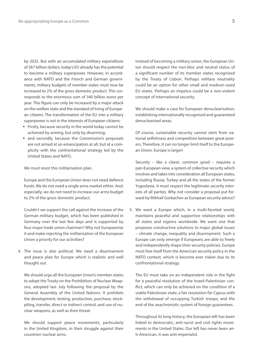by 2025. But with an accumulated military expenditure of 267 billion dollars, today's EU already has the potential to become a military superpower. However, in accordance with NATO and the French and German governments, military budgets of member states must now be increased to 2% of the gross domestic product. This corresponds to the enormous sum of 340 billion euros per year. This figure can only be increased by a major attack on the welfare state and the standard of living of European citizens. The transformation of the EU into a military superpower is not in the interests of European citizens:

- � Firstly, because security in the world today cannot be achieved by arming, but only by disarming;
- and secondly, because the Commission's proposals are not aimed at an emancipation at all, but at a complicity with the confrontational strategy led by the United States and NATO.

We must resist this militarisation plan.

Europe and the European Union does not need defence funds. We do not need a single arms market either. And, especially, we do not need to increase our arms budget to 2% of the gross domestic product.

Couldn't we support the call against the increase of the German military budget, which has been published in Germany over the last few days and is supported by four major trade union chairmen? Why not Europeanise it and make rejecting the militarisation of the European Union a priority for our activities?

4. The issue is also political. We need a disarmament and peace plan for Europe which is realistic and well thought out.

We should urge all the European Union's member states to adopt the Treaty on the Prohibition of Nuclear Weapons, adopted last July following the proposal by the General Assembly of the United Nations. It prohibits the development, testing, production, purchase, stockpiling, transfer, direct or indirect control, and use of nuclear weapons, as well as their threat.

We should support peace movements, particularly in the United Kingdom, in their struggle against their countries' nuclear arms.

Instead of becoming a military union, the European Union should respect the non-bloc and neutral status of a significant number of its member states recognised by the Treaty of Lisbon. Perhaps military neutrality could be an option for other small and medium-sized EU states. Perhaps an impetus could be a non-violent concept of international security.

We should make a case for European denuclearisation, establishing internationally recognised and guaranteed denuclearised areas.

Of course, sustainable security cannot stem from national selfishness and competition between great powers. Therefore, it can no longer limit itself to the European Union. Europe is larger!

Security – like a classic common good – requires a pan-European view, a system of collective security which involves and takes into consideration all European states, including Russia, Turkey and all the states of the former Yugoslavia. It must respect the legitimate security interests of all parties. Why not consider a proposal put forward by Mikhail Gorbachev as European security advice?

5. We want a Europe which, in a multi-faceted world, maintains peaceful and supportive relationships with all states and regions worldwide. We want one that proposes constructive solutions to major global issues – climate change, inequality and disarmament. Such a Europe can only emerge if Europeans are able to freely and independently shape their security policies. Europe must free itself from the American security policy in the NATO context, which is become ever riskier due to its confrontational strategy.

The EU must take on an independent role in the fight for a peaceful resolution of the Israeli-Palestinian conflict, which can only be achieved on the condition of a viable Palestinian state; a fair resolution for Cyprus with the withdrawal of occupying Turkish troops; and the end of the anachronistic system of foreign guarantees.

Throughout its long history, the European left has been linked to democratic, anti-racist and civil rights movements in the United States. Our left has never been anti-American, it was anti-imperialist.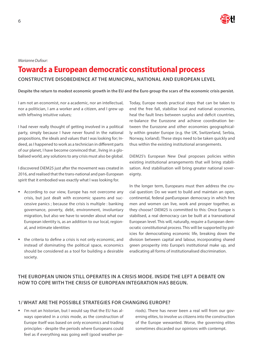

#### <span id="page-5-0"></span>*Marianne Dufour:*

# **Towards a European democratic constitutional process**

### **CONSTRUCTIVE DISOBEDIENCE AT THE MUNICIPAL, NATIONAL AND EUROPEAN LEVEL**

#### **Despite the return to modest economic growth in the EU and the Euro group the scars of the economic crisis persist.**

I am not an economist, nor a academic, nor an intellectual, nor a politician, I am a worker and a citizen, and I grew up with leftwing intuitive values:

I had never really thought of getting involved in a political party, simply because I have never found in the national propositions, the ideals and values that I was looking for; Indeed, as I happened to work as a technician in different parts of our planet, I have become convinced that , living in a globalised world, any solutions to any crisis must also be global.

I discovered DiEM25 just after the movement was created in 2016, and realised that the trans-national and pan-European spirit that it embodied was exactly what I was looking for.

- **EXECORDING** According to our view, Europe has not overcome any crisis, but just dealt with economic spasms and successive panics ; because the crisis is multiple : banking governance, poverty, debt, environment, involuntary migration, but also we have to wonder about what our European identity is, as an addition to our local, regional, and intimate identities
- � the criteria to define a crisis is not only economic, and instead of dominating the political space, economics should be considered as a tool for building a desirable society.

Today, Europe needs practical steps that can be taken to end the free fall, stabilise local and national economies, heal the fault lines between surplus and deficit countries, re-balance the Eurozone and achieve coordination between the Eurozone and other economies geographically within greater Europe (e.g. the UK, Switzerland, Serbia, Norway, Iceland). These steps need to be taken quickly and thus within the existing institutional arrangements.

DiEM25's European New Deal proposes policies within existing institutional arrangements that will bring stabilisation. And stabilisation will bring greater national sovereignty.

In the longer term, Europeans must then address the crucial question: Do we want to build and maintain an open, continental, federal panEuropean democracy in which free men and women can live, work and prosper together, as they choose? DiEM25 is committed to this: Once Europe is stabilised, a real democracy can be built at a transnational European level. This will, naturally, require a European democratic constitutional process. This will be supported by policies for democratising economic life, breaking down the division between capital and labour, incorporating shared green prosperity into Europe's institutional make up, and eradicating all forms of institutionalised discrimination.

## **THE EUROPEAN UNION STILL OPERATES IN A CRISIS MODE. INSIDE THE LEFT A DEBATE ON HOW TO COPE WITH THE CRISIS OF EUROPEAN INTEGRATION HAS BEGUN.**

### **1/ WHAT ARE THE POSSIBLE STRATEGIES FOR CHANGING EUROPE?**

I'm not an historian, but I would say that the EU has always operated in a crisis mode, as the construction of Europe itself was based on only economics and trading principles - despite the periods where Europeans could feel as if everything was going well (good weather pe-

riods). There has never been a real will from our governing elites, to involve us citizens into the construction of the Europe wewanted. Worse, the governing elites sometimes discarded our opinions with contempt.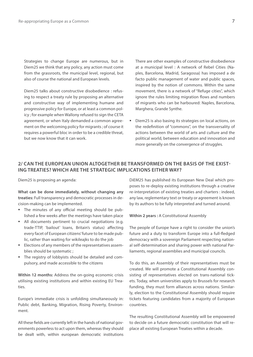Strategies to change Europe are numerous, but in Diem25 we think that any policy, any action must come from the grassroots, the municipal level, regional, but also of course the national and European levels.

Diem25 talks about constructive disobedience : refusing to respect a treaty rule by proposing an alternative and constructive way of implementing humane and progressive policy for Europe, or at least a common policy ; for example when Wallony refused to sign the CETA agreement, or when Italy demanded a common agreement on the welcoming policy for migrants ; of course it requires a powerful bloc in order to be a credible threat, but we now know that it can work.

There are other examples of constructive disobedience at a municipal level : A network of Rebel Cities (Naples, Barcelona, Madrid, Saragossa) has imposed a de facto public management of water and public spaces, inspired by the notion of commons. Within the same movement, there is a network of "Refuge cities", which ignore the rules limiting migration flows and numbers of migrants who can be harboured: Naples, Barcelona, Marghera, Grande Synthe.

� Diem25 is also basing its strategies on local actions, on the redefinition of "commons", on the transversality of actions between the world of arts and culture and the political world, between education and innovation and more generally on the convergence of struggles.

### **2/ CAN THE EUROPEAN UNION ALTOGETHER BE TRANSFORMED ON THE BASIS OF THE EXIST-ING TREATIES? WHICH ARE THE STRATEGIC IMPLICATIONS EITHER WAY?**

Diem25 is proposing an agenda:

**What can be done immediately, without changing any treaties:** Full transparency and democratic processes in decision-making can be implemented.

- � The minutes of any official meeting should be published a few weeks after the meetings have taken place
- � All documents pertinent to crucial negotiations (e.g. trade-TTIP, 'bailout' loans, Britain's status) affecting every facet of European citizens' future to be made public, rather than waiting for wikileajks to do the job
- � Elections of any members of the representatives assemblies should be systematic ;
- � The registry of lobbyists should be detailed and compulsory, and made accessible to the citizens

**Within 12 months:** Address the on-going economic crisis utilising existing institutions and within existing EU Treaties.

Europe's immediate crisis is unfolding simultaneously in: Public debt, Banking, Migration, Rising Poverty, Environment.

All these fields are currently left in the hands of national governments powerless to act upon them, whereas they should be dealt with, within european democratic institutions DiEM25 has published its European New Deal which proposes to re-deploy existing institutions through a creative re-interpretation of existing treaties and charters : indeed, any law, reglementary text or treaty or agreement is known by its authors to be fully interpreted and turned around.

#### **Within 2 years :** A Constitutional Assembly

The people of Europe have a right to consider the union's future and a duty to transform Europe into a full-fledged democracy with a sovereign Parliament respecting national self-determination and sharing power with national Parliaments, regional assemblies and municipal councils.

To do this, an Assembly of their representatives must be created. We will promote a Constitutional Assembly consisting of representatives elected on trans-national tickets. Today, when universities apply to Brussels for research funding, they must form alliances across nations. Similarly, election to the Constitutional Assembly should require tickets featuring candidates from a majority of European countries.

The resulting Constitutional Assembly will be empowered to decide on a future democratic constitution that will replace all existing European Treaties within a decade.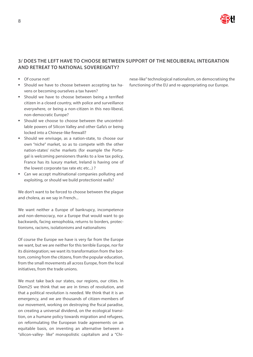

### **3/ DOES THE LEFT HAVE TO CHOOSE BETWEEN SUPPORT OF THE NEOLIBERAL INTEGRATION AND RETREAT TO NATIONAL SOVEREIGNTY?**

- Of course not!
- � Should we have to choose between accepting tax havens or becoming ourselves a tax haven?
- **B** Should we have to choose between being a terrified citizen in a closed country, with police and surveillance everywhere, or being a non-citizen in this neo-liberal, non-democratic Europe?
- � Should we choose to choose between the uncontrollable powers of Silicon Valley and other Gafa's or being locked into a Chinese-like firewall?
- � Should we envisage, as a nation-state, to choose our own "niche" market, so as to compete with the other nation-states' niche markets (for example the Portugal is welcoming pensioners thanks to a low tax policy, France has its luxury market, Ireland is having one of the lowest corporate tax rate etc etc...) ?
- Can we accept multinational companies polluting and exploiting, or should we build protectionist walls?

We don't want to be forced to choose between the plague and cholera, as we say in French...

We want neither a Europe of bankrupcy, incompetence and non-democracy, nor a Europe that would want to go backwards, facing xenophobia, returns to borders, protectionisms, racisms, isolationisms and nationalisms

Of course the Europe we have is very far from the Europe we want, but we are neither for this terrible Europe, nor for its disintegration; we want its transformation from the bottom, coming from the citizens, from the popular education, from the small movements all across Europe, from the local initiatives, from the trade unions.

We must take back our states, our regions, our cities. In Diem25 we think that we are in times of revolution, and that a political revolution is needed. We think that it is an emergency, and we are thousands of citizen-members of our movement, working on destroying the fiscal paradise, on creating a universal dividend, on the ecological transition, on a humane policy towards migration and refugees, on reformulating the European trade agreements on an equitable basis, on inventing an alternative between a "silicon-valley- like" monopolistic capitalism and a "Chi-

nese-like" technological nationalism, on democratising the functioning of the EU and re-appropriating our Europe.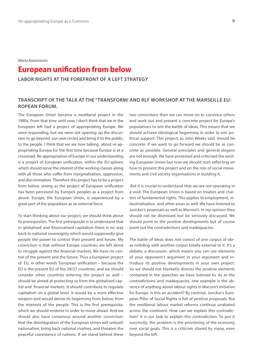<span id="page-8-0"></span>*Maria Karamesini:*

# **European unification from below**

**LABOR RIGHTS AT THE FOREFRONT OF A LEFT STRATEGY**

### **TRANSCRIPT OF THE TALK AT THE "TRANSFORM! AND RLF WORKSHOP AT THE MARSEILLE EU-ROPEAN FORUM.**

The European Union became a neoliberal project in the 1980s. From that time until now, I don't think that we in the European left had a project of appropriating Europe. We were responding, but we were not opening up the discussion to go beyond our own circles and bring it to the public, to the people. I think that we are now talking about re-appropriating Europe for the first time because Europe is at a crossroad. Re-appropriation of Europe in our understanding is a project of European unification, within the EU-sphere, which should serve the interest of the working classes along with all those who suffer from marginalisation, oppression, and discrimination. Therefore this project has to be a project from below, seeing as the project of European unification has been perceived by Europe's peoples as a project from above. Europe, the European Union, is experienced by a great part of the population as an external force.

To start thinking about our project, we should think about its prerequisites. The first prerequisite is to understand that in globalised and financialised capitalism there is no way back to national sovereignty which would supposedly give people the power to control their present and future. My conviction is that without Europe countries are left alone to struggle against the financial markets. We have no control of the present and the future. Thus a European project of EU, in other words 'European unification' – because the EU is the present EU of the 28/27 countries, and we should consider other countries entering the project as well – should be aimed at protecting us from the globalised capital and financial markets. It should contribute to regulate capitalism on a global level. It would be a more effective weapon and would derive its hegemony from below, from the interests of the people. This is the first prerequisite, which we should endorse in order to move ahead. And we should also have consensus around another conviction: that the disintegration of the European Union will unleash nationalism, bring back national rivalries, and threaten the peaceful coexistence of nations. If we stand behind these

two convictions then we can move on to convince others and work out and present a concrete project for Europe's populations to win the battle of ideas. This means that we should achieve ideological hegemony in order to win political support. This project, as John Weeks said, should be concrete. If we want to go forward we should be as concrete as possible. General principles and general slogans are not enough. We have protested and criticised the existing European Union but now we should start reflecting on how to present this project and on the role of social movements and civil society organisations in building it.

 But it is crucial to understand that we are not operating in a void. The European Union is based on treaties and charters of fundamental rights. This applies to employment, industrialisation, and other areas as well. We have listened to Juncker's proposals as well as Macron's. In my opinion they should not be dismissed but be seriously discussed. We should point to the positive developments but of course point out the contradictions and inadequacies.

The battle of ideas does not consist of one corpus of ideas colliding with another corpus totally external to it. It's a debate, a discussion, which means you can use elements of your opponent's argument in your argument and introduce its positive developments in your own project. So we should not blanketly dismiss the positive elements contained in the speeches we have listened to. As to the contradictions and inadequacies, one example is the absence of anything about labour rights in Macron's Initiative for Europe. Is this an accident? By contrast, Juncker's European Pillar of Social Rights is full of positive proposals. But the neoliberal labour market reforms continue unabated across the continent. How can we explain this contradiction? It is our task to explain this contradiction. To put it succinctly, the problem is the prioritising of the economy over social goals. This is a criticism shared by many, even beyond the left.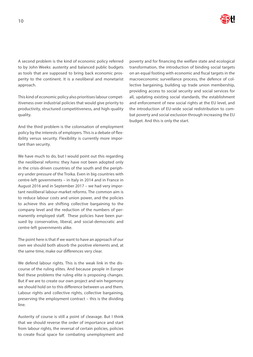

A second problem is the kind of economic policy referred to by John Weeks: austerity and balanced public budgets as tools that are supposed to bring back economic prosperity to the continent. It is a neoliberal and monetarist approach.

This kind of economic policy also prioritises labour competitiveness over industrial policies that would give priority to productivity, structured competitiveness, and high-quality quality.

And the third problem is the colonisation of employment policy by the interests of employers. This is a debate of flexibility versus security. Flexibility is currently more important than security.

We have much to do, but I would point out this regarding the neoliberal reforms: they have not been adopted only in the crisis-driven countries of the south and the periphery under pressure of the Troika. Even in big countries with centre-left governments – in Italy in 2014 and in France in August 2016 and in September 2017 – we had very important neoliberal labour-market reforms. The common aim is to reduce labour costs and union power, and the policies to achieve this are shifting collective bargaining to the company level and the reduction of the numbers of permanently employed staff. These policies have been pursued by conservative, liberal, and social-democratic and centre-left governments alike.

The point here is that if we want to have an approach of our own we should both absorb the positive elements and, at the same time, make our differences very clear.

We defend labour rights. This is the weak link in the discourse of the ruling elites. And because people in Europe feel these problems the ruling elite is proposing changes. But if we are to create our own project and win hegemony we should hold on to this difference between us and them. Labour rights and collective rights, collective bargaining, preserving the employment contract – this is the dividing line.

Austerity of course is still a point of cleavage. But I think that we should reverse the order of importance and start from labour rights, the reversal of certain policies, policies to create fiscal space for combating unemployment and

poverty and for financing the welfare state and ecological transformation, the introduction of binding social targets on an equal footing with economic and fiscal targets in the macroeconomic surveillance process, the defence of collective bargaining, building up trade union membership, providing access to social security and social services for all, updating existing social standards, the establishment and enforcement of new social rights at the EU level, and the introduction of EU-wide social redistribution to combat poverty and social exclusion through increasing the EU budget. And this is only the start.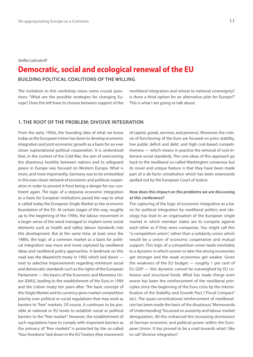#### <span id="page-10-0"></span>*Steffen Lehndorff:*

# **Democratic, social and ecological renewal of the EU**

**BUILDING POLITICAL COALITIONS OF THE WILLING**

The invitation to this workshop raises some crucial questions: "What are the possible strategies for changing Europe? Does the left have to choose between support of the

neoliberal integration and retreat to national sovereignty? Is there a third option for an alternative plan for Europe?" This is what I am going to talk about.

#### **1. THE ROOT OF THE PROBLEM: DIVISIVE INTEGRATION**

From the early 1950s, the founding idea of what we know today as the European Union has been to develop economic integration and joint economic growth as a basis for an ever closer supranational political cooperation. It is understood that, in the context of the Cold War, the aim of overcoming the disastrous hostility between nations and to safeguard peace in Europe was focused on Western Europe. What is more, and most importantly, Germany was to be embedded in this ever closer network of economic and political cooperation in order to prevent it from being a danger for our continent again. The logic of a stepwise economic integration as a basis for European institutions paved the way to what is called today the European Single Market as the economic foundation of the EU. At certain stages of this way, roughly up to the beginning of the 1990s, the labour movement in a larger sense of the word managed to implant some social elements such as health and safety labour standards into this development. But at the same time, at least since the 1980s, the logic of a common market as a basis for political integration was more and more captured by neoliberal ideas and neoliberal policy approaches. A landmark on this road was the Maastricht treaty in 1992 which laid down next to selective improvements regarding minimum social and democratic standards such as the rights of the European Parliament — the basics of the Economic and Monetary Union (EMU), leading to the establishment of the Euro in 1999 and the Lisbon treaty ten years after. The basic concept of the Single Market and its currency gives market competition priority over political or social regulations that may work as barriers to "free" markets. Of course, it continues to be possible at national or EU levels to establish social or political barriers to the "free market". However, the establishment of such regulations have to comply with important barriers as the primacy of "free markets" is protected by the so-called "four freedoms" laid down in the EU Treaties (free movement

of capital, goods, services, and persons). Moreover, the criteria of functioning of the Euro are focused on price stability, low public deficit and debt, and high cost-based competitiveness — which means in practice the removal of cost-intensive social standards. The core ideas of this approach go back to the neoliberal so-called Washington consensus but its novel and unique feature is that they have been made part of a de-facto constitution which has been extensively spelled out by the European Court of Justice.

### **How does this impact on the problems we are discussing at this conference?**

The capturing of the logic of economic integration as a basis for political integration by neoliberal politics and ideology has lead to an organisation of the European single market in which member states are to compete against each other as if they were companies. You might call this "a competition union", rather than a solidarity union which would be a union of economic cooperation and mutual support. This logic of a competition union leads inevitably to a dynamic in which sooner or later the strong economies get stronger and the weak economies get weaker. Given the weakness of the EU budget — roughly 1 per cent of EU GDP — this dynamic cannot be outweighed by EU cohesion and structural funds. What has made things even worse has been the reinforcement of the neoliberal principles since the beginning of the Euro crisis by the intensification of the Stability and Growth Pact ("Fiscal Compact" etc). The quasi-constitutional reinforcement of neoliberalism has been made the basis of the disastrous "Memoranda of Understanding" focussed on austerity and labour market deregulation. All this enhanced the increasing dominance of German economic and political power within the European Union. It has proved to be a road towards what I like to call "divisive integration".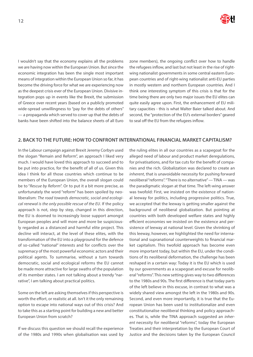

I wouldn't say that the economy explains all the problems we are having now within the European Union. But since the economic integration has been the single most important means of integration within the European Union so far, it has become the driving force for what we are experiencing now as the deepest crisis ever of the European Union. Divisive integration pops up in events like the Brexit, the submission of Greece over recent years (based on a publicly promoted wide-spread unwillingness to "pay for the debts of others" — a propaganda which served to cover up that the debts of banks have been shifted into the balance sheets of all Euro

zone members), the ongoing conflict over how to handle the refugees inflow, and last but not least in the rise of rightwing nationalist governments in some central eastern European countries and of right-wing nationalist anti-EU parties in mostly western and northern European countries. And I think one interesting symptom of this crisis is that for the time being there are only two major issues the EU elites can quite easily agree upon. First, the enhancement of EU military capacities - this is what Walter Baier talked about. And second, the "protection of the EU's external borders" geared to seal off the EU from the refugees inflow.

### **2. BACK TO THE FUTURE: HOW TO CONFRONT INTERNATIONAL FINANCIAL MARKET CAPITALISM?**

In the Labour campaign against Brexit Jeremy Corbyn used the slogan "Remain and Reform", an approach I liked very much. I would have loved this approach to succeed and to be put into practice, for the benefit of all of us. Given this idea I think for all those countries which continue to be members of the European Union, the overall slogan could be to "*Rescue by Reform*". Or to put it a bit more precise, as unfortunately the word "reform" has been spoiled by neoliberalism: *The road towards democratic, social and ecological renewal is the only possible rescue of the EU*. If the policy approach is not, step by step, changed in this direction, the EU is doomed to increasingly loose support amongst European peoples and will more and more be suspiciously regarded as a distanced and harmful elite project. This decline will interact, at the level of these elites, with the transformation of the EU into a playground for the defence of so-called "national" interests and for conflicts over the supremacy of the most powerful economic actors and their political agents. To summarise, without a turn towards democratic, social and ecological reforms the EU cannot be made more attractive for large swaths of the population of its member states. I am not talking about a trendy "narrative", I am talking about practical politics.

Some on the left are asking themselves if this perspective is worth the effort, or realistic at all. Isn't it the only remaining option to escape into national ways out of this crisis? And to take this as a starting point for building a new and better European Union from scratch?

If we discuss this question we should recall the experience of the 1980s and 1990s when globalisation was used by

the ruling elites in all our countries as a scapegoat for the alleged need of labour and product market deregulations, for privatisations, and for tax cuts for the benefit of companies and the rich. Globalization was declared to create an *inherent*, that is unavoidable necessity for pushing forward neoliberal "reforms". "There is no alternative" — TINA — was the paradigmatic slogan at that time. The left-wing answer was twofold: First, we insisted on the existence of national leeway for politics, including progressive politics. True, we accepted that the leeway is getting smaller against the background of neoliberal globalization. But pointing at countries with both developed welfare states and highly efficient economies we insisted on the existence and persistence of leeway at national level. Given the shrinking of this leeway, however, we highlighted the need for international and supranational counterweights to financial market capitalism. This twofold approach has become even more important today, but within the EU, under the conditions of its neoliberal deformation, the challenge has been reshaped in a certain way: Today it is the EU which is used by our governments as a scapegoat and excuse for neoliberal "reforms". This new setting gives way to two differences to the 1980s and 90s. The first difference is that today parts of the left believe in this excuse, in contrast to what was a widely shared view amongst the left in the 1980s and 90s. Second, and even more importantly, it is true that the European Union has been used to institutionalize and even constitutionalise neoliberal thinking and policy approaches. That is, while the TINA approach suggested an *inherent* necessity for neoliberal "reforms", today the European Treaties and their interpretation by the European Court of Justice and the decisions taken by the European Council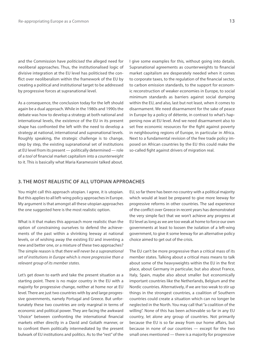and the Commission have *politicised* the alleged need for neoliberal approaches. Thus, the institutionalised logic of divisive integration at the EU level has politicised the conflict over neoliberalism within the framework of the EU by creating a political and institutional target to be addressed by progressive forces at supranational level.

As a consequence, the conclusion today for the left should again be a dual approach. While in the 1980s and 1990s the debate was how to develop a strategy at both national and international levels, the existence of the EU in its present shape has confronted the left with the need to develop a strategy at national, international and *supra*national levels. Roughly speaking, the strategic challenge is to change, step by step, the existing supranational set of institutions at EU level from its present — politically determined — role of a *tool* of financial market capitalism into a *counterweight* to it. This is basically what Maria Karamessini talked about.

I give some examples for this, without going into details. Supranational agreements as counterweights to financial market capitalism are desperately needed when it comes to corporate taxes, to the regulation of the financial sector, to carbon emission standards, to the support for economic reconstruction of weaker economies in Europe, to social minimum standards as barriers against social dumping within the EU, and also, last but not least, when it comes to disarmament. We need disarmament for the sake of peace in Europe by a policy of détente, in contrast to what's happening now at EU level. And we need disarmament also to set free economic resources for the fight against poverty in neighbouring regions of Europe, in particular in Africa. Next to a fundamental revision of the free trade policy imposed on African countries by the EU this could make the so-called fight against drivers of migration real.

### **3. THE MOST REALISTIC OF ALL UTOPIAN APPROACHES**

You might call this approach utopian. I agree, it is utopian. But this applies to all left-wing policy approaches in Europe. My argument is that amongst all these utopian approaches the one suggested here is the most realistic option.

What is it that makes this approach more realistic than the option of constraining ourselves to defend the achievements of the past within a shrinking leeway at national levels, or of wishing away the existing EU and inventing a new and better one, or a mixture of these two approaches? The simple reason is that *there will never be a supranational set of institutions in Europe which is more progressive than a relevant group of its member states*.

Let's get down to earth and take the present situation as a starting point. There is no major country in the EU with a majority for progressive change, neither at home nor at EU level. There are just two countries with by and large progressive governments, namely Portugal and Greece. But unfortunately these two countries are only marginal in terms of economic and political power. They are facing the awkward "choice" between confronting the international financial markets either directly in a David and Goliath manner, or to confront them politically intermediated by the present bulwark of EU institutions and politics. As to the "rest" of the

EU, so far there has been no country with a political majority which would at least be prepared to give more leeway for progressive reforms in other countries. The sad experience of the conflict over Greece in recent years has demonstrated the very simple fact that we won't achieve any progress at EU level as long as we are too weak at home to force our own governments at least to loosen the isolation of a left-wing government, to give it some leeway for an alternative policy choice aimed to get out of the crisis.

The EU can't be more progressive than a critical mass of its member states. Talking about a critical mass means to talk about some of the heavyweights within the EU in the first place, about Germany in particular, but also about France, Italy, Spain, maybe also about smaller but economically important countries like the Netherlands, Belgium and the Nordic countries. Alternatively, if we are too weak to stir up things in the strongest countries, a coalition of Southern countries could create a situation which can no longer be neglected in the North. You may call that "a coalition of the willing". None of this has been achievable so far in any EU country, let alone any group of countries. Not primarily because the EU is so far away from our home affairs, but because in none of our countries — except for the two small ones mentioned — there is a majority for progressive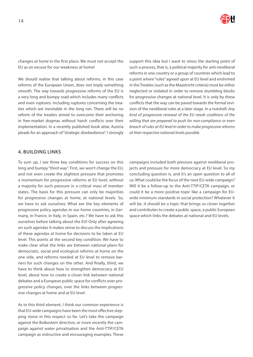

changes *at home* in the first place. We must not accept the EU as an excuse for our weakness at home!

We should realise that talking about reforms, in this case reforms of the European Union, does not imply something smooth. The way towards progressive reforms of the EU is a very long and bumpy road which includes many conflicts and even ruptures. Including ruptures concerning the treaties which are inevitable in the long run. There will be no reform of the treaties aimed to overcome their anchoring in free-market dogmas without harsh conflicts over their implementation. In a recently published book attac Austria pleads for an approach of "strategic disobedience". I strongly

support this idea but I want to stress the starting point of such a process, that is, a political majority for anti-neoliberal reforms in one country or a group of countries which lead to a point where "rules" agreed upon at EU level and enshrined in the Treaties (such as the Maastricht criteria) must be either neglected or violated in order to remove stumbling blocks for progressive changes at national level. It is only by these conflicts that the way can be paved towards the formal revision of the neoliberal rules at a later stage. In a nutshell: *Any kind of progressive renewal of the EU needs coalitions of the willing that are prepared to push for non-compliance or even breach of rules at EU level in order to make progressive reforms at their respective national levels possible.*

### **4. BUILDING LINKS**

To sum up, I see three key conditions for success on this long and bumpy "third way". First, we won't change the EU, and not even create the slightest pressure that promotes a momentum for progressive reforms at EU level, without a majority for such pressure in a critical mass of member states. The basis for this pressure can only be majorities for progressive changes at home, at national levels. So, we have to ask ourselves: What are the key elements of progressive policy agendas in our home countries, in Germany, in France, in Italy, in Spain, etc.? We have to ask this ourselves before talking about the EU! Only after agreeing on such agendas it makes sense to discuss the implications of these agendas at home for decisions to be taken at EU level. This points at the second key condition: We have to make clear what the links are between national plans for democratic, social and ecological reforms at home on the one side, and reforms needed at EU level to remove barriers for such changes on the other. And finally, third, we have to think about how to strengthen democracy at EU level, about how to create a closer link between national debates and a European public space for conflicts over progressive policy changes, over the links between progressive changes at home and at EU level.

As to this third element, I think our common experience is that EU-wide campaigns have been the most effective stepping stone in this respect so far. Let's take the campaign against the Bolkestein directive, or more recently the campaign against water privatisation and the Anti-TTIP/CETA campaign as instructive and encouraging examples. These campaigns included both pressure against neoliberal projects and pressure for more democracy at EU level. So my concluding question is, and it's an open question to all of us: What could be the focus of the next EU-wide campaign? Will it be a follow-up to the Anti-TTIP/CETA campaign, or could it be a more positive topic like a campaign for EUwide minimum standards in social protection? Whatever it will be, it should be a topic that brings us closer together and contributes to create a public space, a public European space which links the debates at national and EU levels.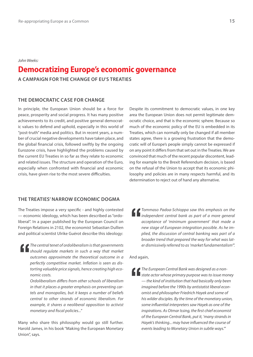#### <span id="page-14-0"></span>*John Weeks:*

# **Democratizing Europe's economic governance**

**A CAMPAIGN FOR THE CHANGE OF EU'S TREATIES**

### **THE DEMOCRATIC CASE FOR CHANGE**

In principle, the European Union should be a force for peace, prosperity and social progress. It has many positive achievements to its credit, and positive general democratic values to defend and uphold, especially in this world of "post-truth" media and politics. But in recent years, a number of crucial negative developments have taken place, and the global financial crisis, followed swiftly by the ongoing Eurozone crisis, have highlighted the problems caused by the current EU Treaties in so far as they relate to economic and related issues. The structure and operation of the Euro, especially when confronted with financial and economic crisis, have given rise to the most severe difficulties.

### **THE TREATIES' NARROW ECONOMIC DOGMA**

The Treaties impose a very specific - and highly contested — economic ideology, which has been described as "ordoliberal". In a paper published by the European Council on Foreign Relations in 2102, the economist Sebastian Dullien and political scientist Ulrike Guérot describe this ideology:

*The central tenet of ordoliberalism is that governments should regulate markets in such a way that market outcomes approximate the theoretical outcome in a perfectly competitive market. Inflation is seen as distorting valuable price signals, hence creating high economic costs.*

*Ordoliberalism differs from other schools of liberalism in that it places a greater emphasis on preventing cartels and monopolies, but it keeps a number of beliefs central to other strands of economic liberalism. For example, it shares a neoliberal opposition to activist monetary and fiscal policies..."* 

Many who share this philosophy would go still further. Harold James, in his book "Making the European Monetary Union", says.

Despite its commitment to democratic values, in one key area the European Union does not permit legitimate democratic choice, and that is the economic sphere. Because so much of the economic policy of the EU is embedded in its Treaties, which can normally only be changed if all member states agree, there is a growing frustration that the democratic will of Europe's people simply cannot be expressed if on any point it differs from that set out in the Treaties. We are convinced that much of the recent popular discontent, leading for example to the Brexit Referendum decision, is based on the refusal of the Union to accept that its economic philosophy and policies are in many respects harmful, and its determination to reject out of hand any alternative.

*Tommaso Padoa-Schioppa saw this emphasis on the independent central bank as part of a more general acceptance of 'minimum government' that made a new stage of European integration possible. As he implied, the discussion of central banking was part of a broader trend that prepared the way for what was later dismissively referred to as 'market fundamentalism'".*

And again,

*The European Central Bank was designed as a nonstate actor whose primary purpose was to issue money — the kind of institution that had basically only been imagined before the 1990s by antistatist liberal economist and philosopher Friedrich Hayek and some of his wilder disciples. By the time of the monetary union, some influential interpreters saw Hayek as one of the inspirations. As Otmar Issing, the first chief economist of the European Central Bank, put it, 'many strands in Hayek's thinking... may have influenced the course of events leading to Monetary Union in subtle ways.'"*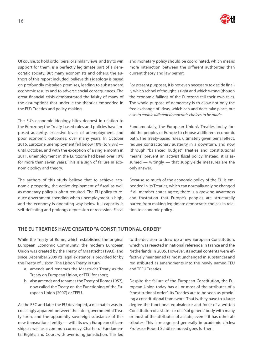

Of course, to hold ordoliberal or similar views, and try to win support for them, is a perfectly legitimate part of a democratic society. But many economists and others, the authors of this report included, believe this ideology is based on profoundly mistaken premises, leading to substandard economic results and to adverse social consequences. The great financial crisis demonstrated the falsity of many of the assumptions that underlie the theories embedded in the EU's Treaties and policy-making.

The EU's economic ideology bites deepest in relation to the Eurozone; the Treaty-based rules and policies have imposed austerity, excessive levels of unemployment, and poor economic outcomes, over many years. In October 2016, Eurozone unemployment fell below 10% (to 9.8%) until October, and with the exception of a single month in 2011, unemployment in the Eurozone had been over 10% for more than seven years. This is a sign of failure in economic policy and theory.

The authors of this study believe that to achieve economic prosperity, the active deployment of fiscal as well as monetary policy is often required. The EU policy to reduce government spending when unemployment is high, and the economy is operating way below full capacity is self-defeating and prolongs depression or recession. Fiscal

and monetary policy should be coordinated, which means more interaction between the different authorities than current theory and law permit.

For present purposes, it is not even necessary to decide finally which school of thought is right and which wrong (though the economic failings of the Eurozone tell their own tale). The whole purpose of democracy is to allow not only the free exchange of ideas, which can and does take place, but also *to enable different democratic choices to be made*.

Fundamentally, the European Union's Treaties today forbid the peoples of Europe to choose a different economic path. The Treaty-based rules, ultimately given penal effect, require contractionary austerity in a downturn, and now (through "balanced budget" Treaties and constitutional means) prevent an activist fiscal policy. Instead, it is assumed — wrongly — that supply-side measures are the only answer.

Because so much of the economic policy of the EU is embedded in its Treaties, which can normally only be changed if all member states agree, there is a growing awareness and frustration that Europe's peoples are structurally barred from making legitimate democratic choices in relation to economic policy.

### **THE EU TREATIES HAVE CREATED "A CONSTITUTIONAL ORDER"**

While the Treaty of Rome, which established the original European Economic Community, the modern European Union was created by the Treaty of Maastricht (1993), and since December 2009 its legal existence is provided for by the Treaty of Lisbon. The Lisbon Treaty in turn

- a. amends and renames the Maastricht Treaty as the Treaty on European Union, or TEU for short;
- b. also amends and renames the Treaty of Rome (1957), now called the Treaty on the Functioning of the European Union (2007) or TFEU.

As the EEC and later the EU developed, a mismatch was increasingly apparent between the inter-governmental Treaty form, and the apparently sovereign substance of this new transnational entity — with its own European citizenship, as well as a common currency, Charter of Fundamental Rights, and Court with overriding jurisdiction. This led

to the decision to draw up a new European Constitution, which was rejected in national referenda in France and the Netherlands in 2005. However, its actual contents were effectively maintained (almost unchanged in substance) and redistributed as amendments into the newly named TEU and TFEU Treaties.

Despite the failure of the European Constitution, the European Union today has all or most of the attributes of a "constitutional order". Its Treaties are to be seen as providing a constitutional framework. That is, they have to a large degree the functional equivalence and force of a written Constitution of a state - or of a 'sui generis' body with many or most of the attributes of a state, even if it has other attributes. This is recognized generally in academic circles; Professor Robert Schütze indeed goes further: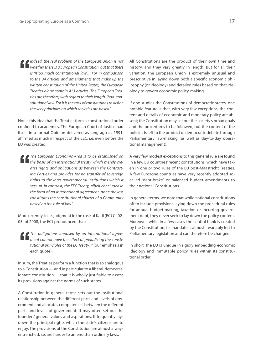*Indeed, the real problem of the European Union is not whether there is a European Constitution, but that there is '[t]oo much constitutional law'.... For in comparison to the 34 articles and amendments that make up the written constitution of the United States, the European Treaties alone contain 413 articles. The European Treaties are therefore, with regard to their length, 'bad' constitutional law. For it is the task of constitutions to define the very principles on which societies are based."*

Nor is this idea that the Treaties form a constitutional order confined to academics. The European Court of Justice had itself, in a formal Opinion delivered as long ago as 1991, affirmed as much in respect of the EEC, i.e. even before the EU was created:

*The European Economic Area is to be established on the basis of an international treaty which merely creates rights and obligations as between the Contracting Parties and provides for no transfer of sovereign rights to the inter-governmental institutions which it sets up. In contrast, the EEC Treaty, albeit concluded in the form of an international agreement, none the less constitutes the constitutional charter of a Community based on the rule of law."*

More recently, in its judgment in the case of Kadi (ECJ C402- 05) of 2008, the ECJ pronounced that:

*The obligations imposed by an international agreement cannot have the effect of prejudicing the constitutional principles of the EC Treaty..."* (our emphasis in each quote).

In sum, the Treaties perform a function that is so analogous to a Constitution — and in particular to a liberal-democratic state constitution — that it is wholly justifiable to assess its provisions against the norms of such states.

A Constitution in general terms sets out the institutional relationship between the different parts and levels of government and allocates competences between the different parts and levels of government. It may often set out the founders' general values and aspirations. It frequently lays down the principal rights which the state's citizens are to enjoy. The provisions of the Constitution are almost always entrenched, i.e. are harder to amend than ordinary laws.

All Constitutions are the product of their own time and history, and they vary greatly in length. But for all their variation, the European Union is extremely unusual and prescriptive in laying down both a specific economic philosophy (or ideology) and detailed rules based on that ideology to govern economic policy-making.

If one studies the Constitutions of democratic states, one notable feature is that, with very few exceptions, the content and details of economic and monetary policy are absent; the Constitution may set out the society's broad goals and the procedures to be followed, but the content of the policies is left to the product of democratic debate through Parliamentary law-making (as well as day-to-day operational management).

A very few modest exceptions to this general rule are found in a few EU countries' recent constitutions, which have taken in one or two rules of the EU post-Maastricht Treaties. A few Eurozone countries have very recently adopted socalled "debt-brake" or balanced budget amendments to their national Constitutions.

In general terms, we note that while national constitutions often include provisions laying down the procedural rules for annual budget-making, taxation or incurring government debt, they never seek to lay down the policy content. Moreover, while in a few cases the central bank is created by the Constitution, its mandate is almost invariably left to Parliamentary legislation and can therefore be changed.

In short, the EU is unique in rigidly embedding economic ideology and immutable policy rules within its constitutional order.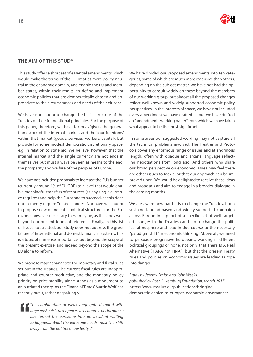# **THE AIM OF THIS STUDY**

This study offers a short set of essential amendments which would make the terms of the EU Treaties more policy-neutral in the economic domain, and enable the EU and member states, within their remits, to define and implement economic policies that are democratically chosen and appropriate to the circumstances and needs of their citizens.

We have not sought to change the basic structure of the Treaties or their foundational principles. For the purpose of this paper, therefore, we have taken as 'given' the general framework of the internal market, and the 'four freedoms' within that market (goods, services, workers, capital), but provide for some modest democratic discretionary space, e.g. in relation to state aid. We believe, however, that the internal market and the single currency are not ends in themselves but must always be seen as means to the end, the prosperity and welfare of the peoples of Europe.

We have not included proposals to increase the EU's budget (currently around 1% of EU GDP) to a level that would enable meaningful transfers of resources (as any single currency requires) and help the Eurozone to succeed, as this does not in theory require Treaty changes. Nor have we sought to propose new democratic political structures for the Eurozone, however necessary these may be, as this goes well beyond our present terms of reference. Finally, in this list of issues not treated, our study does not address the gross failure of international and domestic financial systems; this is a topic of immense importance, but beyond the scope of the present exercise, and indeed beyond the scope of the EU alone to reform.

We propose major changes to the monetary and fiscal rules set out in the Treaties. The current fiscal rules are inappropriate and counter-productive, and the monetary policy priority on price stability alone stands as a monument to an outdated theory. As the Financial Times' Martin Wolf has recently put it, rather despairingly:

*The combination of weak aggregate demand with huge post-crisis divergences in economic performance has turned the eurozone into an accident waiting to happen... What the eurozone needs most is a shift away from the politics of austerity..."* 

We have divided our proposed amendments into ten categories, some of which are much more extensive than others, depending on the subject-matter. We have not had the opportunity to consult widely on these beyond the members of our working group, but almost all the proposed changes reflect well-known and widely supported economic policy perspectives. In the interests of space, we have not included every amendment we have drafted — but we have drafted an "amendments working paper" from which we have taken what appear to be the most significant.

In some areas our suggested wording may not capture all the technical problems involved. The Treaties and Protocols cover any enormous range of issues and at enormous length, often with opaque and arcane language reflecting negotiations from long ago! And others who share our broad perspective on economic issues may feel there are other issues to tackle, or that our approach can be improved upon. We would be delighted to receive these ideas and proposals and aim to engage in a broader dialogue in the coming months.

We are aware how hard it is to change the Treaties, but a sustained, broad-based and widely-supported campaign across Europe in support of a specific set of well-targeted changes to the Treaties can help to change the political atmosphere and lead in due course to the necessary "paradigm shift" in economic thinking. Above all, we need to persuade progressive Europeans, working in different political groupings or none, not only that There Is A Real Alternative (TIARA not TINA!), but that the present Treaty rules and policies on economic issues are leading Europe into danger.

*Study by Jeremy Smith and John Weeks, published by Rosa Luxemburg Foundation, March 2017*  [https://www.rosalux.eu/publications/bringing](https://www.rosalux.eu/publications/bringing-democratic-choice-to-europes-economic-governance/)[democratic-choice-to-europes-economic-governance/](https://www.rosalux.eu/publications/bringing-democratic-choice-to-europes-economic-governance/)